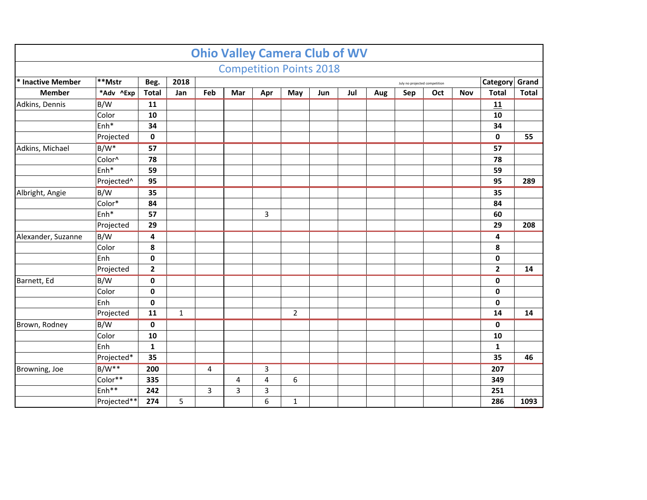|                                                                              |                   |              |             |     |     |                | <b>Ohio Valley Camera Club of WV</b> |     |     |     |     |     |            |                |              |
|------------------------------------------------------------------------------|-------------------|--------------|-------------|-----|-----|----------------|--------------------------------------|-----|-----|-----|-----|-----|------------|----------------|--------------|
|                                                                              |                   |              |             |     |     |                | <b>Competition Points 2018</b>       |     |     |     |     |     |            |                |              |
| **Mstr<br>* Inactive Member<br>Beg.<br>2018<br>July no projected competition |                   |              |             |     |     |                |                                      |     |     |     |     |     |            | Category       | Grand        |
| <b>Member</b>                                                                | *Adv ^Exp         | <b>Total</b> | Jan         | Feb | Mar | Apr            | May                                  | Jun | Jul | Aug | Sep | Oct | <b>Nov</b> | <b>Total</b>   | <b>Total</b> |
| Adkins, Dennis                                                               | B/W               | 11           |             |     |     |                |                                      |     |     |     |     |     |            | 11             |              |
|                                                                              | Color             | 10           |             |     |     |                |                                      |     |     |     |     |     |            | 10             |              |
|                                                                              | Enh*              | 34           |             |     |     |                |                                      |     |     |     |     |     |            | 34             |              |
|                                                                              | Projected         | $\mathbf 0$  |             |     |     |                |                                      |     |     |     |     |     |            | $\mathbf 0$    | 55           |
| Adkins, Michael                                                              | $B/W^*$           | 57           |             |     |     |                |                                      |     |     |     |     |     |            | 57             |              |
|                                                                              | Color^            | 78           |             |     |     |                |                                      |     |     |     |     |     |            | 78             |              |
|                                                                              | Enh <sup>*</sup>  | 59           |             |     |     |                |                                      |     |     |     |     |     |            | 59             |              |
|                                                                              | Projected^        | 95           |             |     |     |                |                                      |     |     |     |     |     |            | 95             | 289          |
| Albright, Angie                                                              | B/W               | 35           |             |     |     |                |                                      |     |     |     |     |     |            | 35             |              |
|                                                                              | Color*            | 84           |             |     |     |                |                                      |     |     |     |     |     |            | 84             |              |
|                                                                              | Enh*              | 57           |             |     |     | 3              |                                      |     |     |     |     |     |            | 60             |              |
|                                                                              | Projected         | 29           |             |     |     |                |                                      |     |     |     |     |     |            | 29             | 208          |
| Alexander, Suzanne                                                           | B/W               | 4            |             |     |     |                |                                      |     |     |     |     |     |            | 4              |              |
|                                                                              | Color             | 8            |             |     |     |                |                                      |     |     |     |     |     |            | 8              |              |
|                                                                              | Enh               | 0            |             |     |     |                |                                      |     |     |     |     |     |            | $\pmb{0}$      |              |
|                                                                              | Projected         | $\mathbf{2}$ |             |     |     |                |                                      |     |     |     |     |     |            | $\overline{2}$ | 14           |
| Barnett, Ed                                                                  | B/W               | 0            |             |     |     |                |                                      |     |     |     |     |     |            | $\pmb{0}$      |              |
|                                                                              | Color             | 0            |             |     |     |                |                                      |     |     |     |     |     |            | $\pmb{0}$      |              |
|                                                                              | Enh               | $\pmb{0}$    |             |     |     |                |                                      |     |     |     |     |     |            | 0              |              |
|                                                                              | Projected         | 11           | $\mathbf 1$ |     |     |                | $\overline{2}$                       |     |     |     |     |     |            | 14             | 14           |
| Brown, Rodney                                                                | B/W               | $\mathbf 0$  |             |     |     |                |                                      |     |     |     |     |     |            | $\mathbf 0$    |              |
|                                                                              | Color             | 10           |             |     |     |                |                                      |     |     |     |     |     |            | 10             |              |
|                                                                              | Enh               | $\mathbf{1}$ |             |     |     |                |                                      |     |     |     |     |     |            | $\mathbf{1}$   |              |
|                                                                              | Projected*        | 35           |             |     |     |                |                                      |     |     |     |     |     |            | 35             | 46           |
| Browning, Joe                                                                | $B/W**$           | 200          |             | 4   |     | 3              |                                      |     |     |     |     |     |            | 207            |              |
|                                                                              | Color**           | 335          |             |     | 4   | $\overline{4}$ | 6                                    |     |     |     |     |     |            | 349            |              |
|                                                                              | Enh <sup>**</sup> | 242          |             | 3   | 3   | 3              |                                      |     |     |     |     |     |            | 251            |              |
|                                                                              | Projected**       | 274          | 5           |     |     | 6              | $\mathbf{1}$                         |     |     |     |     |     |            | 286            | 1093         |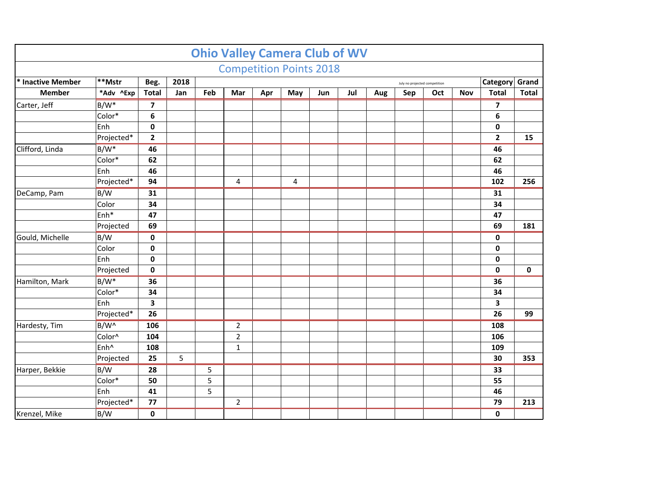|                   |                  |                         |      |                |                |     | <b>Ohio Valley Camera Club of WV</b> |     |     |     |                               |     |     |                |              |
|-------------------|------------------|-------------------------|------|----------------|----------------|-----|--------------------------------------|-----|-----|-----|-------------------------------|-----|-----|----------------|--------------|
|                   |                  |                         |      |                |                |     | <b>Competition Points 2018</b>       |     |     |     |                               |     |     |                |              |
| * Inactive Member | $^{**}$ Mstr     | Beg.                    | 2018 |                |                |     |                                      |     |     |     | July no projected competition |     |     | Category       | Grand        |
| <b>Member</b>     | *Adv ^Exp        | <b>Total</b>            | Jan  | Feb            | Mar            | Apr | May                                  | Jun | Jul | Aug | Sep                           | Oct | Nov | <b>Total</b>   | <b>Total</b> |
| Carter, Jeff      | $B/W^*$          | $\overline{ }$          |      |                |                |     |                                      |     |     |     |                               |     |     | 7              |              |
|                   | Color*           | 6                       |      |                |                |     |                                      |     |     |     |                               |     |     | $\bf 6$        |              |
|                   | Enh              | 0                       |      |                |                |     |                                      |     |     |     |                               |     |     | 0              |              |
|                   | Projected*       | $\overline{\mathbf{2}}$ |      |                |                |     |                                      |     |     |     |                               |     |     | $\overline{2}$ | 15           |
| Clifford, Linda   | $B/W^*$          | 46                      |      |                |                |     |                                      |     |     |     |                               |     |     | 46             |              |
|                   | Color*           | 62                      |      |                |                |     |                                      |     |     |     |                               |     |     | 62             |              |
|                   | Enh              | 46                      |      |                |                |     |                                      |     |     |     |                               |     |     | 46             |              |
|                   | Projected*       | 94                      |      |                | 4              |     | 4                                    |     |     |     |                               |     |     | 102            | 256          |
| DeCamp, Pam       | B/W              | 31                      |      |                |                |     |                                      |     |     |     |                               |     |     | 31             |              |
|                   | Color            | 34                      |      |                |                |     |                                      |     |     |     |                               |     |     | 34             |              |
|                   | $Enh*$           | 47                      |      |                |                |     |                                      |     |     |     |                               |     |     | 47             |              |
|                   | Projected        | 69                      |      |                |                |     |                                      |     |     |     |                               |     |     | 69             | 181          |
| Gould, Michelle   | B/W              | $\pmb{0}$               |      |                |                |     |                                      |     |     |     |                               |     |     | $\pmb{0}$      |              |
|                   | Color            | 0                       |      |                |                |     |                                      |     |     |     |                               |     |     | $\pmb{0}$      |              |
|                   | Enh              | $\mathbf 0$             |      |                |                |     |                                      |     |     |     |                               |     |     | $\pmb{0}$      |              |
|                   | Projected        | $\mathbf 0$             |      |                |                |     |                                      |     |     |     |                               |     |     | $\mathbf 0$    | $\mathbf 0$  |
| Hamilton, Mark    | $B/W^*$          | 36                      |      |                |                |     |                                      |     |     |     |                               |     |     | 36             |              |
|                   | Color*           | 34                      |      |                |                |     |                                      |     |     |     |                               |     |     | 34             |              |
|                   | Enh              | 3                       |      |                |                |     |                                      |     |     |     |                               |     |     | 3              |              |
|                   | Projected*       | 26                      |      |                |                |     |                                      |     |     |     |                               |     |     | 26             | 99           |
| Hardesty, Tim     | B/W^             | 106                     |      |                | $\overline{2}$ |     |                                      |     |     |     |                               |     |     | 108            |              |
|                   | Color^           | 104                     |      |                | $\overline{2}$ |     |                                      |     |     |     |                               |     |     | 106            |              |
|                   | Enh <sup>^</sup> | 108                     |      |                | $\mathbf 1$    |     |                                      |     |     |     |                               |     |     | 109            |              |
|                   | Projected        | 25                      | 5    |                |                |     |                                      |     |     |     |                               |     |     | 30             | 353          |
| Harper, Bekkie    | B/W              | 28                      |      | 5              |                |     |                                      |     |     |     |                               |     |     | 33             |              |
|                   | Color*           | 50                      |      | $\overline{5}$ |                |     |                                      |     |     |     |                               |     |     | 55             |              |
|                   | Enh              | 41                      |      | 5              |                |     |                                      |     |     |     |                               |     |     | 46             |              |
|                   | Projected*       | 77                      |      |                | $\overline{2}$ |     |                                      |     |     |     |                               |     |     | 79             | 213          |
| Krenzel, Mike     | B/W              | $\mathbf 0$             |      |                |                |     |                                      |     |     |     |                               |     |     | $\mathbf 0$    |              |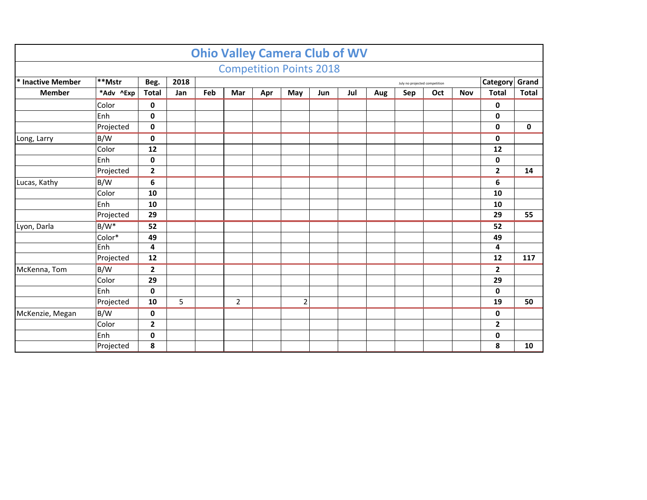|                   |           |                |      |     | <b>Ohio Valley Camera Club of WV</b> |     |                |     |     |     |     |     |            |                |              |
|-------------------|-----------|----------------|------|-----|--------------------------------------|-----|----------------|-----|-----|-----|-----|-----|------------|----------------|--------------|
|                   |           |                |      |     | <b>Competition Points 2018</b>       |     |                |     |     |     |     |     |            |                |              |
| * Inactive Member | **Mstr    | Beg.           | 2018 |     | July no projected competition        |     |                |     |     |     |     |     |            | Category       | Grand        |
| <b>Member</b>     | *Adv ^Exp | <b>Total</b>   | Jan  | Feb | Mar                                  | Apr | May            | Jun | Jul | Aug | Sep | Oct | <b>Nov</b> | <b>Total</b>   | <b>Total</b> |
|                   | Color     | 0              |      |     |                                      |     |                |     |     |     |     |     |            | 0              |              |
|                   | Enh       | 0              |      |     |                                      |     |                |     |     |     |     |     |            | 0              |              |
|                   | Projected | $\mathbf 0$    |      |     |                                      |     |                |     |     |     |     |     |            | 0              | $\mathbf 0$  |
| Long, Larry       | B/W       | $\mathbf 0$    |      |     |                                      |     |                |     |     |     |     |     |            | 0              |              |
|                   | Color     | 12             |      |     |                                      |     |                |     |     |     |     |     |            | 12             |              |
|                   | Enh       | 0              |      |     |                                      |     |                |     |     |     |     |     |            | 0              |              |
|                   | Projected | $\mathbf{2}$   |      |     |                                      |     |                |     |     |     |     |     |            | $\mathbf{2}$   | 14           |
| Lucas, Kathy      | B/W       | 6              |      |     |                                      |     |                |     |     |     |     |     |            | 6              |              |
|                   | Color     | 10             |      |     |                                      |     |                |     |     |     |     |     |            | 10             |              |
|                   | Enh       | 10             |      |     |                                      |     |                |     |     |     |     |     |            | 10             |              |
|                   | Projected | 29             |      |     |                                      |     |                |     |     |     |     |     |            | 29             | 55           |
| Lyon, Darla       | $B/W^*$   | 52             |      |     |                                      |     |                |     |     |     |     |     |            | 52             |              |
|                   | Color*    | 49             |      |     |                                      |     |                |     |     |     |     |     |            | 49             |              |
|                   | Enh       | 4              |      |     |                                      |     |                |     |     |     |     |     |            | 4              |              |
|                   | Projected | 12             |      |     |                                      |     |                |     |     |     |     |     |            | 12             | 117          |
| McKenna, Tom      | B/W       | $\overline{2}$ |      |     |                                      |     |                |     |     |     |     |     |            | $\overline{2}$ |              |
|                   | Color     | 29             |      |     |                                      |     |                |     |     |     |     |     |            | 29             |              |
|                   | Enh       | 0              |      |     |                                      |     |                |     |     |     |     |     |            | 0              |              |
|                   | Projected | 10             | 5    |     | $\overline{2}$                       |     | $\overline{2}$ |     |     |     |     |     |            | 19             | 50           |
| McKenzie, Megan   | B/W       | 0              |      |     |                                      |     |                |     |     |     |     |     |            | 0              |              |
|                   | Color     | $\mathbf{2}$   |      |     |                                      |     |                |     |     |     |     |     |            | $\mathbf{2}$   |              |
|                   | Enh       | $\mathbf 0$    |      |     |                                      |     |                |     |     |     |     |     |            | 0              |              |
|                   | Projected | 8              |      |     |                                      |     |                |     |     |     |     |     |            | 8              | 10           |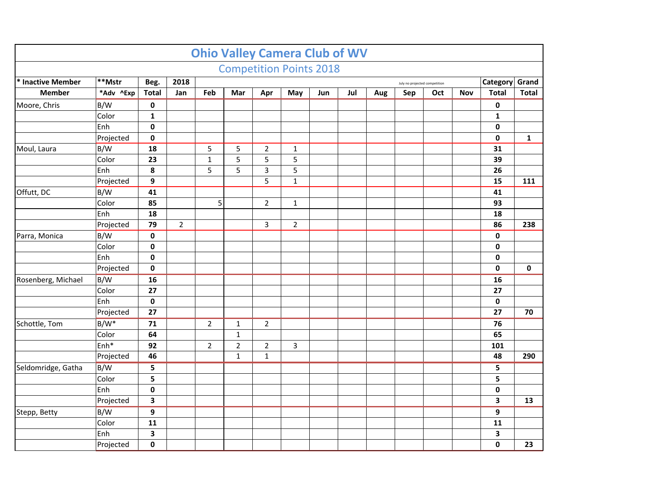|                                                                              |           |              |                |                |              |                | <b>Ohio Valley Camera Club of WV</b> |     |     |     |     |     |     |                |              |
|------------------------------------------------------------------------------|-----------|--------------|----------------|----------------|--------------|----------------|--------------------------------------|-----|-----|-----|-----|-----|-----|----------------|--------------|
|                                                                              |           |              |                |                |              |                | <b>Competition Points 2018</b>       |     |     |     |     |     |     |                |              |
| **Mstr<br>* Inactive Member<br>2018<br>Beg.<br>July no projected competition |           |              |                |                |              |                |                                      |     |     |     |     |     |     | Category Grand |              |
| <b>Member</b>                                                                | *Adv ^Exp | <b>Total</b> | Jan            | Feb            | Mar          | Apr            | May                                  | Jun | Jul | Aug | Sep | Oct | Nov | <b>Total</b>   | <b>Total</b> |
| Moore, Chris                                                                 | B/W       | $\mathbf 0$  |                |                |              |                |                                      |     |     |     |     |     |     | 0              |              |
|                                                                              | Color     | $\mathbf{1}$ |                |                |              |                |                                      |     |     |     |     |     |     | $\mathbf{1}$   |              |
|                                                                              | Enh       | 0            |                |                |              |                |                                      |     |     |     |     |     |     | 0              |              |
|                                                                              | Projected | 0            |                |                |              |                |                                      |     |     |     |     |     |     | $\mathbf 0$    | $\mathbf{1}$ |
| Moul, Laura                                                                  | B/W       | 18           |                | 5              | 5            | $\overline{2}$ | $\mathbf{1}$                         |     |     |     |     |     |     | 31             |              |
|                                                                              | Color     | 23           |                | $\mathbf 1$    | 5            | 5              | 5                                    |     |     |     |     |     |     | 39             |              |
|                                                                              | Enh       | 8            |                | 5              | 5            | 3              | 5                                    |     |     |     |     |     |     | 26             |              |
|                                                                              | Projected | 9            |                |                |              | 5              | $\mathbf{1}$                         |     |     |     |     |     |     | 15             | 111          |
| Offutt, DC                                                                   | B/W       | 41           |                |                |              |                |                                      |     |     |     |     |     |     | 41             |              |
|                                                                              | Color     | 85           |                | 5              |              | $\overline{2}$ | $\mathbf{1}$                         |     |     |     |     |     |     | 93             |              |
|                                                                              | Enh       | 18           |                |                |              |                |                                      |     |     |     |     |     |     | 18             |              |
|                                                                              | Projected | 79           | $\overline{2}$ |                |              | 3              | $\overline{2}$                       |     |     |     |     |     |     | 86             | 238          |
| Parra, Monica                                                                | B/W       | 0            |                |                |              |                |                                      |     |     |     |     |     |     | $\pmb{0}$      |              |
|                                                                              | Color     | 0            |                |                |              |                |                                      |     |     |     |     |     |     | 0              |              |
|                                                                              | Enh       | 0            |                |                |              |                |                                      |     |     |     |     |     |     | 0              |              |
|                                                                              | Projected | 0            |                |                |              |                |                                      |     |     |     |     |     |     | 0              | 0            |
| Rosenberg, Michael                                                           | B/W       | 16           |                |                |              |                |                                      |     |     |     |     |     |     | 16             |              |
|                                                                              | Color     | 27           |                |                |              |                |                                      |     |     |     |     |     |     | 27             |              |
|                                                                              | Enh       | 0            |                |                |              |                |                                      |     |     |     |     |     |     | 0              |              |
|                                                                              | Projected | 27           |                |                |              |                |                                      |     |     |     |     |     |     | 27             | 70           |
| Schottle, Tom                                                                | $B/W^*$   | 71           |                | $\overline{2}$ | $\mathbf 1$  | $\overline{2}$ |                                      |     |     |     |     |     |     | 76             |              |
|                                                                              | Color     | 64           |                |                | $\mathbf{1}$ |                |                                      |     |     |     |     |     |     | 65             |              |
|                                                                              | $Enh*$    | 92           |                | $\overline{2}$ | $\mathbf 2$  | $\mathbf 2$    | 3                                    |     |     |     |     |     |     | 101            |              |
|                                                                              | Projected | 46           |                |                | $\mathbf{1}$ | $\mathbf{1}$   |                                      |     |     |     |     |     |     | 48             | 290          |
| Seldomridge, Gatha                                                           | B/W       | 5            |                |                |              |                |                                      |     |     |     |     |     |     | 5              |              |
|                                                                              | Color     | 5            |                |                |              |                |                                      |     |     |     |     |     |     | 5              |              |
|                                                                              | Enh       | 0            |                |                |              |                |                                      |     |     |     |     |     |     | 0              |              |
|                                                                              | Projected | 3            |                |                |              |                |                                      |     |     |     |     |     |     | 3              | 13           |
| Stepp, Betty                                                                 | B/W       | 9            |                |                |              |                |                                      |     |     |     |     |     |     | 9              |              |
|                                                                              | Color     | 11           |                |                |              |                |                                      |     |     |     |     |     |     | 11             |              |
|                                                                              | Enh       | 3            |                |                |              |                |                                      |     |     |     |     |     |     | 3              |              |
|                                                                              | Projected | 0            |                |                |              |                |                                      |     |     |     |     |     |     | 0              | 23           |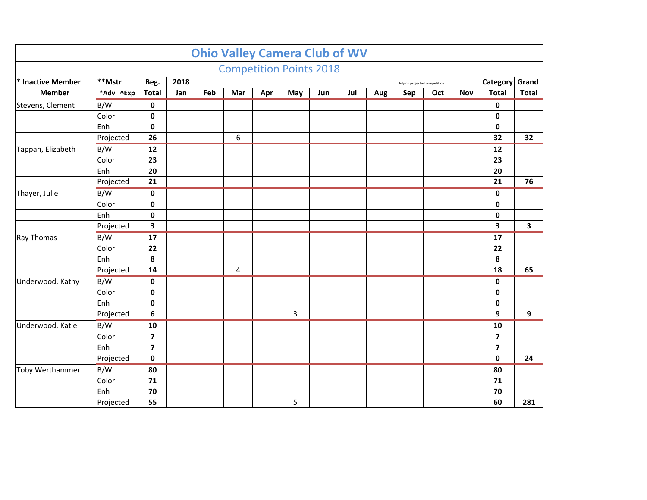|                   |                                                            |                         |     |     |                  |     | <b>Ohio Valley Camera Club of WV</b> |     |     |     |     |     |            |                          |              |
|-------------------|------------------------------------------------------------|-------------------------|-----|-----|------------------|-----|--------------------------------------|-----|-----|-----|-----|-----|------------|--------------------------|--------------|
|                   |                                                            |                         |     |     |                  |     | <b>Competition Points 2018</b>       |     |     |     |     |     |            |                          |              |
| * Inactive Member | $**$ Mstr<br>2018<br>Beg.<br>July no projected competition |                         |     |     |                  |     |                                      |     |     |     |     |     |            |                          | Grand        |
| <b>Member</b>     | *Adv ^Exp                                                  | <b>Total</b>            | Jan | Feb | Mar              | Apr | May                                  | Jun | Jul | Aug | Sep | Oct | <b>Nov</b> | Category<br><b>Total</b> | <b>Total</b> |
| Stevens, Clement  | B/W                                                        | 0                       |     |     |                  |     |                                      |     |     |     |     |     |            | 0                        |              |
|                   | Color                                                      | 0                       |     |     |                  |     |                                      |     |     |     |     |     |            | $\mathbf 0$              |              |
|                   | Enh                                                        | $\mathbf 0$             |     |     |                  |     |                                      |     |     |     |     |     |            | $\pmb{0}$                |              |
|                   | Projected                                                  | 26                      |     |     | $\boldsymbol{6}$ |     |                                      |     |     |     |     |     |            | 32                       | 32           |
| Tappan, Elizabeth | B/W                                                        | 12                      |     |     |                  |     |                                      |     |     |     |     |     |            | 12                       |              |
|                   | Color                                                      | 23                      |     |     |                  |     |                                      |     |     |     |     |     |            | 23                       |              |
|                   | Enh                                                        | 20                      |     |     |                  |     |                                      |     |     |     |     |     |            | 20                       |              |
|                   | Projected                                                  | 21                      |     |     |                  |     |                                      |     |     |     |     |     |            | 21                       | 76           |
| Thayer, Julie     | B/W                                                        | $\mathbf 0$             |     |     |                  |     |                                      |     |     |     |     |     |            | $\mathbf 0$              |              |
|                   | Color                                                      | 0                       |     |     |                  |     |                                      |     |     |     |     |     |            | $\pmb{0}$                |              |
|                   | Enh                                                        | $\pmb{0}$               |     |     |                  |     |                                      |     |     |     |     |     |            | 0                        |              |
|                   | Projected                                                  | 3                       |     |     |                  |     |                                      |     |     |     |     |     |            | 3                        | 3            |
| <b>Ray Thomas</b> | B/W                                                        | 17                      |     |     |                  |     |                                      |     |     |     |     |     |            | 17                       |              |
|                   | Color                                                      | 22                      |     |     |                  |     |                                      |     |     |     |     |     |            | 22                       |              |
|                   | Enh                                                        | 8                       |     |     |                  |     |                                      |     |     |     |     |     |            | 8                        |              |
|                   | Projected                                                  | 14                      |     |     | 4                |     |                                      |     |     |     |     |     |            | 18                       | 65           |
| Underwood, Kathy  | B/W                                                        | 0                       |     |     |                  |     |                                      |     |     |     |     |     |            | $\pmb{0}$                |              |
|                   | Color                                                      | 0                       |     |     |                  |     |                                      |     |     |     |     |     |            | $\pmb{0}$                |              |
|                   | Enh                                                        | $\mathbf 0$             |     |     |                  |     |                                      |     |     |     |     |     |            | 0                        |              |
|                   | Projected                                                  | 6                       |     |     |                  |     | 3                                    |     |     |     |     |     |            | 9                        | 9            |
| Underwood, Katie  | B/W                                                        | 10                      |     |     |                  |     |                                      |     |     |     |     |     |            | 10                       |              |
|                   | Color                                                      | $\overline{\mathbf{z}}$ |     |     |                  |     |                                      |     |     |     |     |     |            | 7                        |              |
|                   | Enh                                                        | $\overline{\mathbf{z}}$ |     |     |                  |     |                                      |     |     |     |     |     |            | $\overline{\mathbf{z}}$  |              |
|                   | Projected                                                  | $\mathbf 0$             |     |     |                  |     |                                      |     |     |     |     |     |            | $\mathbf 0$              | 24           |
| Toby Werthammer   | B/W                                                        | 80                      |     |     |                  |     |                                      |     |     |     |     |     |            | 80                       |              |
|                   | Color                                                      | 71                      |     |     |                  |     |                                      |     |     |     |     |     |            | 71                       |              |
|                   | Enh                                                        | 70                      |     |     |                  |     |                                      |     |     |     |     |     |            | 70                       |              |
|                   | Projected                                                  | 55                      |     |     |                  |     | 5                                    |     |     |     |     |     |            | 60                       | 281          |